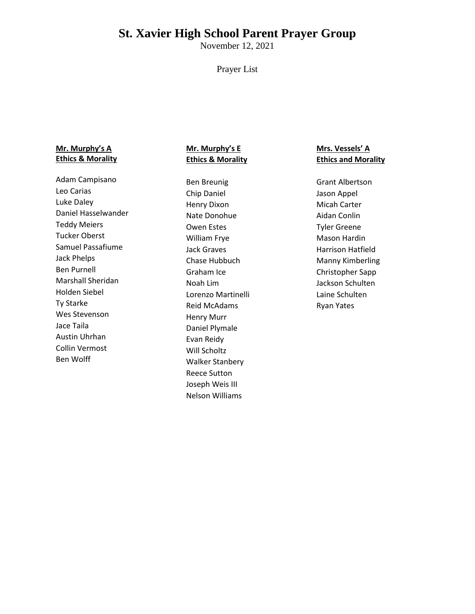# **St. Xavier High School Parent Prayer Group**

November 12, 2021

#### Prayer List

#### **Mr. Murphy's A Ethics & Morality**

Adam Campisano Leo Carias Luke Daley Daniel Hasselwander Teddy Meiers Tucker Oberst Samuel Passafiume Jack Phelps Ben Purnell Marshall Sheridan Holden Siebel Ty Starke Wes Stevenson Jace Taila Austin Uhrhan Collin Vermost Ben Wolff

## **Mr. Murphy's E Ethics & Morality**

Ben Breunig Chip Daniel Henry Dixon Nate Donohue Owen Estes William Frye Jack Graves Chase Hubbuch Graham Ice Noah Lim Lorenzo Martinelli Reid McAdams Henry Murr Daniel Plymale Evan Reidy Will Scholtz Walker Stanbery Reece Sutton Joseph Weis III Nelson Williams

### **Mrs. Vessels' A Ethics and Morality**

Grant Albertson Jason Appel Micah Carter Aidan Conlin Tyler Greene Mason Hardin Harrison Hatfield Manny Kimberling Christopher Sapp Jackson Schulten Laine Schulten Ryan Yates